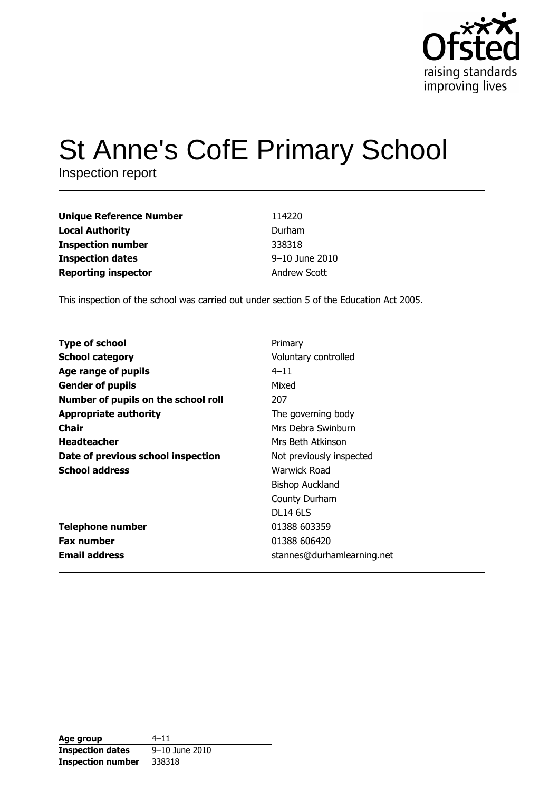

# St Anne's CofE Primary School

Inspection report

| <b>Unique Reference Number</b> | 114220         |
|--------------------------------|----------------|
| <b>Local Authority</b>         | Durham         |
| <b>Inspection number</b>       | 338318         |
| <b>Inspection dates</b>        | 9-10 June 2010 |
| <b>Reporting inspector</b>     | Andrew Scott   |

This inspection of the school was carried out under section 5 of the Education Act 2005.

| <b>Type of school</b>               | Primary                    |
|-------------------------------------|----------------------------|
| <b>School category</b>              | Voluntary controlled       |
| Age range of pupils                 | $4 - 11$                   |
| <b>Gender of pupils</b>             | Mixed                      |
| Number of pupils on the school roll | 207                        |
| <b>Appropriate authority</b>        | The governing body         |
| Chair                               | Mrs Debra Swinburn         |
| <b>Headteacher</b>                  | Mrs Beth Atkinson          |
| Date of previous school inspection  | Not previously inspected   |
| <b>School address</b>               | Warwick Road               |
|                                     | <b>Bishop Auckland</b>     |
|                                     | County Durham              |
|                                     | <b>DL14 6LS</b>            |
| <b>Telephone number</b>             | 01388 603359               |
| <b>Fax number</b>                   | 01388 606420               |
| <b>Email address</b>                | stannes@durhamlearning.net |

| Age group                | $4 - 11$       |
|--------------------------|----------------|
| <b>Inspection dates</b>  | 9-10 June 2010 |
| <b>Inspection number</b> | 338318         |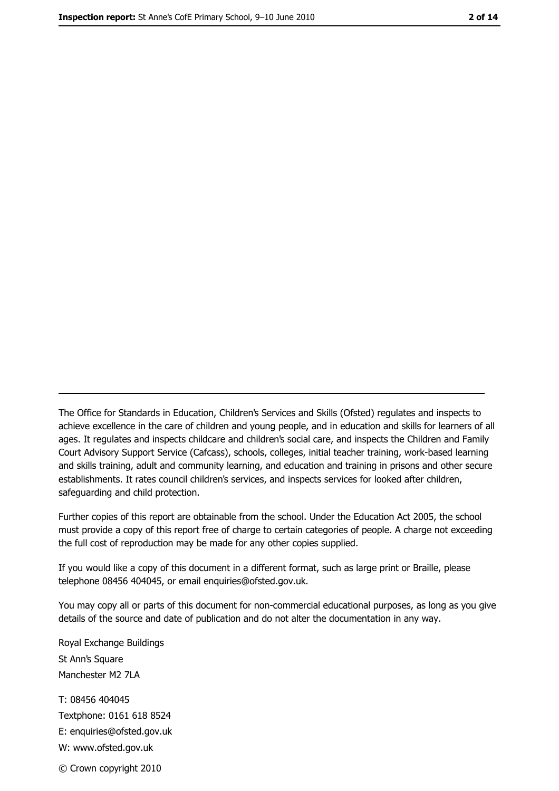The Office for Standards in Education, Children's Services and Skills (Ofsted) regulates and inspects to achieve excellence in the care of children and young people, and in education and skills for learners of all ages. It regulates and inspects childcare and children's social care, and inspects the Children and Family Court Advisory Support Service (Cafcass), schools, colleges, initial teacher training, work-based learning and skills training, adult and community learning, and education and training in prisons and other secure establishments. It rates council children's services, and inspects services for looked after children, safequarding and child protection.

Further copies of this report are obtainable from the school. Under the Education Act 2005, the school must provide a copy of this report free of charge to certain categories of people. A charge not exceeding the full cost of reproduction may be made for any other copies supplied.

If you would like a copy of this document in a different format, such as large print or Braille, please telephone 08456 404045, or email enquiries@ofsted.gov.uk.

You may copy all or parts of this document for non-commercial educational purposes, as long as you give details of the source and date of publication and do not alter the documentation in any way.

Royal Exchange Buildings St Ann's Square Manchester M2 7LA T: 08456 404045 Textphone: 0161 618 8524 E: enquiries@ofsted.gov.uk W: www.ofsted.gov.uk © Crown copyright 2010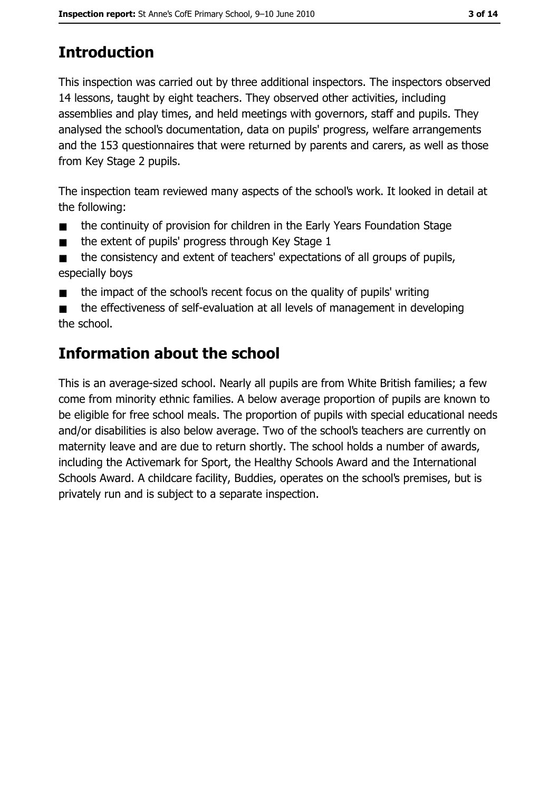# **Introduction**

This inspection was carried out by three additional inspectors. The inspectors observed 14 lessons, taught by eight teachers. They observed other activities, including assemblies and play times, and held meetings with governors, staff and pupils. They analysed the school's documentation, data on pupils' progress, welfare arrangements and the 153 questionnaires that were returned by parents and carers, as well as those from Key Stage 2 pupils.

The inspection team reviewed many aspects of the school's work. It looked in detail at the following:

- the continuity of provision for children in the Early Years Foundation Stage  $\blacksquare$
- the extent of pupils' progress through Key Stage 1  $\blacksquare$
- the consistency and extent of teachers' expectations of all groups of pupils,  $\blacksquare$ especially boys
- the impact of the school's recent focus on the quality of pupils' writing  $\blacksquare$
- the effectiveness of self-evaluation at all levels of management in developing the school.

# **Information about the school**

This is an average-sized school. Nearly all pupils are from White British families; a few come from minority ethnic families. A below average proportion of pupils are known to be eligible for free school meals. The proportion of pupils with special educational needs and/or disabilities is also below average. Two of the school's teachers are currently on maternity leave and are due to return shortly. The school holds a number of awards, including the Activemark for Sport, the Healthy Schools Award and the International Schools Award. A childcare facility, Buddies, operates on the school's premises, but is privately run and is subject to a separate inspection.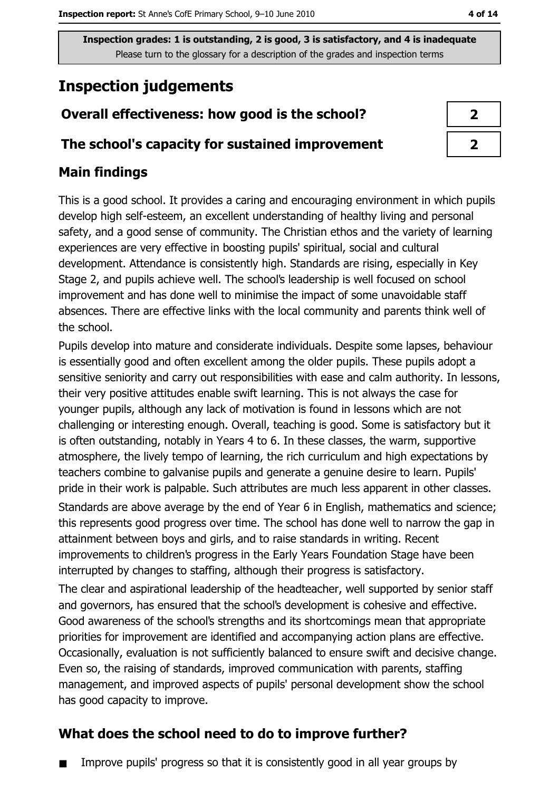Inspection grades: 1 is outstanding, 2 is good, 3 is satisfactory, and 4 is inadequate Please turn to the glossary for a description of the grades and inspection terms

# **Inspection judgements**

## Overall effectiveness: how good is the school?

#### The school's capacity for sustained improvement

## **Main findings**

This is a good school. It provides a caring and encouraging environment in which pupils develop high self-esteem, an excellent understanding of healthy living and personal safety, and a good sense of community. The Christian ethos and the variety of learning experiences are very effective in boosting pupils' spiritual, social and cultural development. Attendance is consistently high. Standards are rising, especially in Key Stage 2, and pupils achieve well. The school's leadership is well focused on school improvement and has done well to minimise the impact of some unavoidable staff absences. There are effective links with the local community and parents think well of the school.

Pupils develop into mature and considerate individuals. Despite some lapses, behaviour is essentially good and often excellent among the older pupils. These pupils adopt a sensitive seniority and carry out responsibilities with ease and calm authority. In lessons, their very positive attitudes enable swift learning. This is not always the case for younger pupils, although any lack of motivation is found in lessons which are not challenging or interesting enough. Overall, teaching is good. Some is satisfactory but it is often outstanding, notably in Years 4 to 6. In these classes, the warm, supportive atmosphere, the lively tempo of learning, the rich curriculum and high expectations by teachers combine to galvanise pupils and generate a genuine desire to learn. Pupils' pride in their work is palpable. Such attributes are much less apparent in other classes.

Standards are above average by the end of Year 6 in English, mathematics and science; this represents good progress over time. The school has done well to narrow the gap in attainment between boys and girls, and to raise standards in writing. Recent improvements to children's progress in the Early Years Foundation Stage have been interrupted by changes to staffing, although their progress is satisfactory.

The clear and aspirational leadership of the headteacher, well supported by senior staff and governors, has ensured that the school's development is cohesive and effective. Good awareness of the school's strengths and its shortcomings mean that appropriate priorities for improvement are identified and accompanying action plans are effective. Occasionally, evaluation is not sufficiently balanced to ensure swift and decisive change. Even so, the raising of standards, improved communication with parents, staffing management, and improved aspects of pupils' personal development show the school has good capacity to improve.

## What does the school need to do to improve further?

Improve pupils' progress so that it is consistently good in all year groups by

4 of 14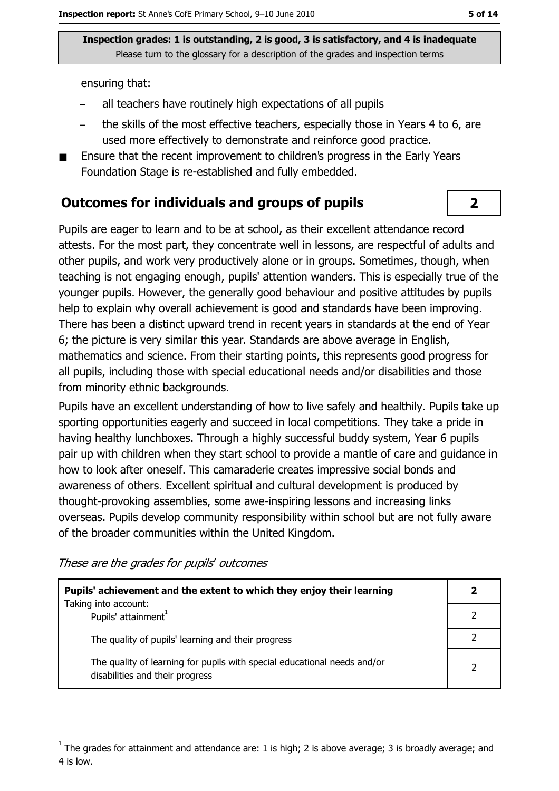Inspection grades: 1 is outstanding, 2 is good, 3 is satisfactory, and 4 is inadequate Please turn to the glossary for a description of the grades and inspection terms

ensuring that:

- all teachers have routinely high expectations of all pupils
- the skills of the most effective teachers, especially those in Years 4 to 6, are used more effectively to demonstrate and reinforce good practice.
- Ensure that the recent improvement to children's progress in the Early Years Foundation Stage is re-established and fully embedded.

#### Outcomes for individuals and groups of pupils

Pupils are eager to learn and to be at school, as their excellent attendance record attests. For the most part, they concentrate well in lessons, are respectful of adults and other pupils, and work very productively alone or in groups. Sometimes, though, when teaching is not engaging enough, pupils' attention wanders. This is especially true of the younger pupils. However, the generally good behaviour and positive attitudes by pupils help to explain why overall achievement is good and standards have been improving. There has been a distinct upward trend in recent years in standards at the end of Year 6; the picture is very similar this year. Standards are above average in English, mathematics and science. From their starting points, this represents good progress for all pupils, including those with special educational needs and/or disabilities and those from minority ethnic backgrounds.

Pupils have an excellent understanding of how to live safely and healthily. Pupils take up sporting opportunities eagerly and succeed in local competitions. They take a pride in having healthy lunchboxes. Through a highly successful buddy system, Year 6 pupils pair up with children when they start school to provide a mantle of care and guidance in how to look after oneself. This camaraderie creates impressive social bonds and awareness of others. Excellent spiritual and cultural development is produced by thought-provoking assemblies, some awe-inspiring lessons and increasing links overseas. Pupils develop community responsibility within school but are not fully aware of the broader communities within the United Kingdom.

These are the grades for pupils' outcomes

| Pupils' achievement and the extent to which they enjoy their learning                                       |   |
|-------------------------------------------------------------------------------------------------------------|---|
| Taking into account:<br>Pupils' attainment <sup>1</sup>                                                     |   |
| The quality of pupils' learning and their progress                                                          |   |
| The quality of learning for pupils with special educational needs and/or<br>disabilities and their progress | 2 |

 $\overline{2}$ 

The grades for attainment and attendance are: 1 is high; 2 is above average; 3 is broadly average; and 4 is low.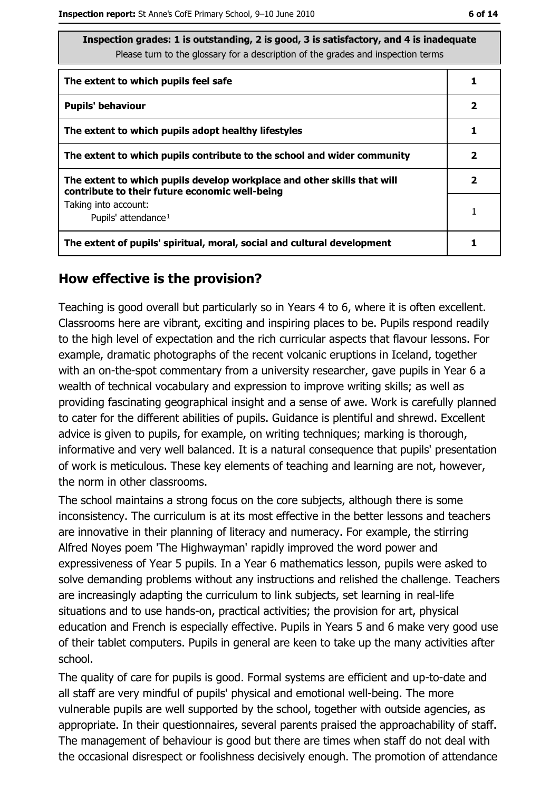| Inspection grades: 1 is outstanding, 2 is good, 3 is satisfactory, and 4 is inadequate<br>Please turn to the glossary for a description of the grades and inspection terms |                         |
|----------------------------------------------------------------------------------------------------------------------------------------------------------------------------|-------------------------|
| The extent to which pupils feel safe                                                                                                                                       |                         |
| <b>Pupils' behaviour</b>                                                                                                                                                   | $\overline{\mathbf{2}}$ |
| The extent to which pupils adopt healthy lifestyles                                                                                                                        | 1                       |
| The extent to which pupils contribute to the school and wider community                                                                                                    | $\overline{\mathbf{2}}$ |
| The extent to which pupils develop workplace and other skills that will<br>contribute to their future economic well-being                                                  | $\mathbf{2}$            |
| Taking into account:<br>Pupils' attendance <sup>1</sup>                                                                                                                    |                         |
| The extent of pupils' spiritual, moral, social and cultural development                                                                                                    |                         |

#### How effective is the provision?

Teaching is good overall but particularly so in Years 4 to 6, where it is often excellent. Classrooms here are vibrant, exciting and inspiring places to be. Pupils respond readily to the high level of expectation and the rich curricular aspects that flavour lessons. For example, dramatic photographs of the recent volcanic eruptions in Iceland, together with an on-the-spot commentary from a university researcher, gave pupils in Year 6 a wealth of technical vocabulary and expression to improve writing skills; as well as providing fascinating geographical insight and a sense of awe. Work is carefully planned to cater for the different abilities of pupils. Guidance is plentiful and shrewd. Excellent advice is given to pupils, for example, on writing techniques; marking is thorough, informative and very well balanced. It is a natural consequence that pupils' presentation of work is meticulous. These key elements of teaching and learning are not, however, the norm in other classrooms.

The school maintains a strong focus on the core subjects, although there is some inconsistency. The curriculum is at its most effective in the better lessons and teachers are innovative in their planning of literacy and numeracy. For example, the stirring Alfred Noyes poem 'The Highwayman' rapidly improved the word power and expressiveness of Year 5 pupils. In a Year 6 mathematics lesson, pupils were asked to solve demanding problems without any instructions and relished the challenge. Teachers are increasingly adapting the curriculum to link subjects, set learning in real-life situations and to use hands-on, practical activities; the provision for art, physical education and French is especially effective. Pupils in Years 5 and 6 make very good use of their tablet computers. Pupils in general are keen to take up the many activities after school.

The quality of care for pupils is good. Formal systems are efficient and up-to-date and all staff are very mindful of pupils' physical and emotional well-being. The more vulnerable pupils are well supported by the school, together with outside agencies, as appropriate. In their questionnaires, several parents praised the approachability of staff. The management of behaviour is good but there are times when staff do not deal with the occasional disrespect or foolishness decisively enough. The promotion of attendance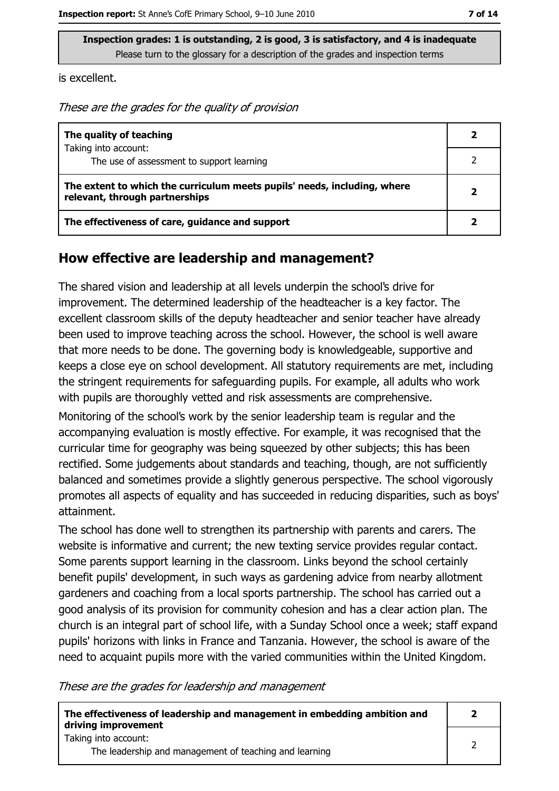is excellent.

These are the grades for the quality of provision

| The quality of teaching                                                                                    |  |
|------------------------------------------------------------------------------------------------------------|--|
| Taking into account:                                                                                       |  |
| The use of assessment to support learning                                                                  |  |
| The extent to which the curriculum meets pupils' needs, including, where<br>relevant, through partnerships |  |
| The effectiveness of care, guidance and support                                                            |  |

#### How effective are leadership and management?

The shared vision and leadership at all levels underpin the school's drive for improvement. The determined leadership of the headteacher is a key factor. The excellent classroom skills of the deputy headteacher and senior teacher have already been used to improve teaching across the school. However, the school is well aware that more needs to be done. The governing body is knowledgeable, supportive and keeps a close eye on school development. All statutory requirements are met, including the stringent requirements for safeguarding pupils. For example, all adults who work with pupils are thoroughly vetted and risk assessments are comprehensive.

Monitoring of the school's work by the senior leadership team is regular and the accompanying evaluation is mostly effective. For example, it was recognised that the curricular time for geography was being squeezed by other subjects; this has been rectified. Some judgements about standards and teaching, though, are not sufficiently balanced and sometimes provide a slightly generous perspective. The school vigorously promotes all aspects of equality and has succeeded in reducing disparities, such as boys' attainment.

The school has done well to strengthen its partnership with parents and carers. The website is informative and current; the new texting service provides regular contact. Some parents support learning in the classroom. Links beyond the school certainly benefit pupils' development, in such ways as gardening advice from nearby allotment gardeners and coaching from a local sports partnership. The school has carried out a good analysis of its provision for community cohesion and has a clear action plan. The church is an integral part of school life, with a Sunday School once a week; staff expand pupils' horizons with links in France and Tanzania. However, the school is aware of the need to acquaint pupils more with the varied communities within the United Kingdom.

These are the grades for leadership and management

| The effectiveness of leadership and management in embedding ambition and<br>driving improvement |  |
|-------------------------------------------------------------------------------------------------|--|
| Taking into account:<br>The leadership and management of teaching and learning                  |  |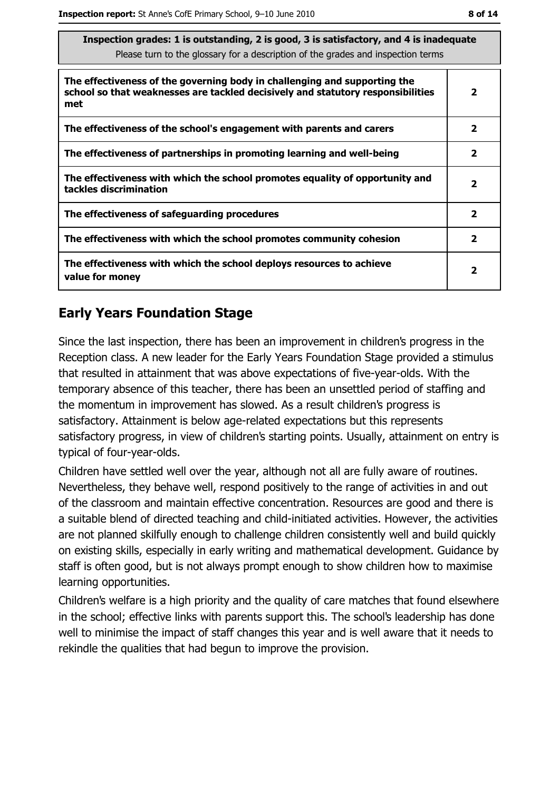| <b>Inspection grades. I is outstanding, z is good, s is satisfactory, and + is madequate</b><br>Please turn to the glossary for a description of the grades and inspection terms |                         |
|----------------------------------------------------------------------------------------------------------------------------------------------------------------------------------|-------------------------|
| The effectiveness of the governing body in challenging and supporting the<br>school so that weaknesses are tackled decisively and statutory responsibilities<br>met              | 2                       |
| The effectiveness of the school's engagement with parents and carers                                                                                                             | 2                       |
| The effectiveness of partnerships in promoting learning and well-being                                                                                                           | $\overline{\mathbf{2}}$ |
| The effectiveness with which the school promotes equality of opportunity and<br>tackles discrimination                                                                           | $\overline{\mathbf{2}}$ |
| The effectiveness of safeguarding procedures                                                                                                                                     | 2                       |
| The effectiveness with which the school promotes community cohesion                                                                                                              | $\mathbf{2}$            |
| The effectiveness with which the school deploys resources to achieve<br>value for money                                                                                          | $\mathbf{2}$            |

Incoaction arades: 1 is outstanding 2 is good. 3 is satisfactory, and 4 is inadequati

## **Early Years Foundation Stage**

Since the last inspection, there has been an improvement in children's progress in the Reception class. A new leader for the Early Years Foundation Stage provided a stimulus that resulted in attainment that was above expectations of five-year-olds. With the temporary absence of this teacher, there has been an unsettled period of staffing and the momentum in improvement has slowed. As a result children's progress is satisfactory. Attainment is below age-related expectations but this represents satisfactory progress, in view of children's starting points. Usually, attainment on entry is typical of four-year-olds.

Children have settled well over the year, although not all are fully aware of routines. Nevertheless, they behave well, respond positively to the range of activities in and out of the classroom and maintain effective concentration. Resources are good and there is a suitable blend of directed teaching and child-initiated activities. However, the activities are not planned skilfully enough to challenge children consistently well and build quickly on existing skills, especially in early writing and mathematical development. Guidance by staff is often good, but is not always prompt enough to show children how to maximise learning opportunities.

Children's welfare is a high priority and the quality of care matches that found elsewhere in the school; effective links with parents support this. The school's leadership has done well to minimise the impact of staff changes this year and is well aware that it needs to rekindle the qualities that had begun to improve the provision.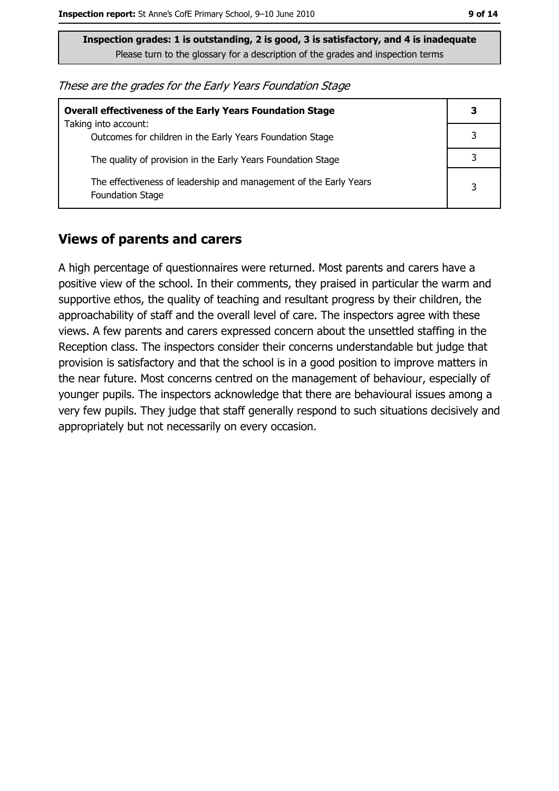Inspection grades: 1 is outstanding, 2 is good, 3 is satisfactory, and 4 is inadequate Please turn to the glossary for a description of the grades and inspection terms

These are the grades for the Early Years Foundation Stage

| <b>Overall effectiveness of the Early Years Foundation Stage</b>                             | 3 |
|----------------------------------------------------------------------------------------------|---|
| Taking into account:<br>Outcomes for children in the Early Years Foundation Stage            |   |
| The quality of provision in the Early Years Foundation Stage                                 |   |
| The effectiveness of leadership and management of the Early Years<br><b>Foundation Stage</b> | 3 |

#### **Views of parents and carers**

A high percentage of questionnaires were returned. Most parents and carers have a positive view of the school. In their comments, they praised in particular the warm and supportive ethos, the quality of teaching and resultant progress by their children, the approachability of staff and the overall level of care. The inspectors agree with these views. A few parents and carers expressed concern about the unsettled staffing in the Reception class. The inspectors consider their concerns understandable but judge that provision is satisfactory and that the school is in a good position to improve matters in the near future. Most concerns centred on the management of behaviour, especially of younger pupils. The inspectors acknowledge that there are behavioural issues among a very few pupils. They judge that staff generally respond to such situations decisively and appropriately but not necessarily on every occasion.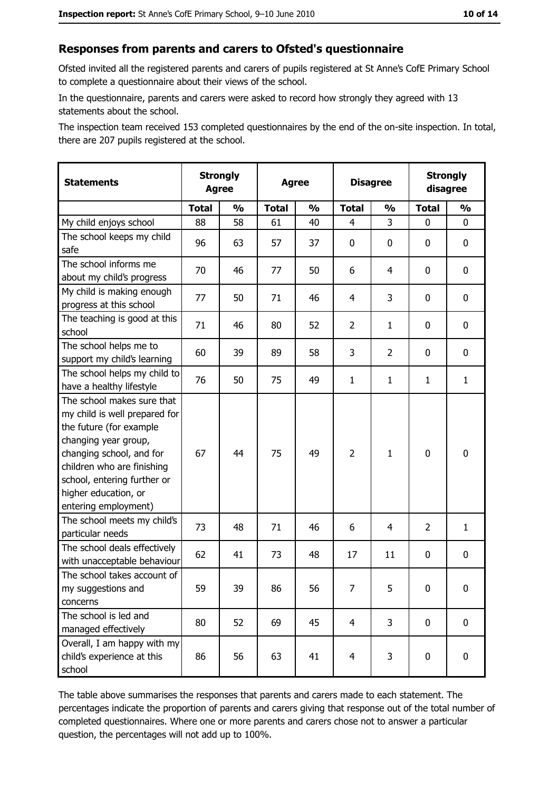#### Responses from parents and carers to Ofsted's questionnaire

Ofsted invited all the registered parents and carers of pupils registered at St Anne's CofE Primary School to complete a questionnaire about their views of the school.

In the questionnaire, parents and carers were asked to record how strongly they agreed with 13 statements about the school.

The inspection team received 153 completed questionnaires by the end of the on-site inspection. In total, there are 207 pupils registered at the school.

| <b>Statements</b>                                                                                                                                                                                                                                       | <b>Strongly</b><br><b>Agree</b> |               | <b>Agree</b> |               | <b>Disagree</b> |                |                | <b>Strongly</b><br>disagree |  |
|---------------------------------------------------------------------------------------------------------------------------------------------------------------------------------------------------------------------------------------------------------|---------------------------------|---------------|--------------|---------------|-----------------|----------------|----------------|-----------------------------|--|
|                                                                                                                                                                                                                                                         | <b>Total</b>                    | $\frac{1}{2}$ | <b>Total</b> | $\frac{0}{0}$ | <b>Total</b>    | $\frac{1}{2}$  | <b>Total</b>   | $\frac{9}{6}$               |  |
| My child enjoys school                                                                                                                                                                                                                                  | 88                              | 58            | 61           | 40            | 4               | 3              | $\Omega$       | 0                           |  |
| The school keeps my child<br>safe                                                                                                                                                                                                                       | 96                              | 63            | 57           | 37            | $\mathbf 0$     | 0              | $\mathbf{0}$   | 0                           |  |
| The school informs me<br>about my child's progress                                                                                                                                                                                                      | 70                              | 46            | 77           | 50            | 6               | $\overline{4}$ | $\mathbf{0}$   | 0                           |  |
| My child is making enough<br>progress at this school                                                                                                                                                                                                    | 77                              | 50            | 71           | 46            | $\overline{4}$  | 3              | 0              | 0                           |  |
| The teaching is good at this<br>school                                                                                                                                                                                                                  | 71                              | 46            | 80           | 52            | $\overline{2}$  | $\mathbf{1}$   | 0              | 0                           |  |
| The school helps me to<br>support my child's learning                                                                                                                                                                                                   | 60                              | 39            | 89           | 58            | 3               | $\overline{2}$ | 0              | 0                           |  |
| The school helps my child to<br>have a healthy lifestyle                                                                                                                                                                                                | 76                              | 50            | 75           | 49            | $\mathbf{1}$    | $\mathbf{1}$   | 1              | $\mathbf{1}$                |  |
| The school makes sure that<br>my child is well prepared for<br>the future (for example<br>changing year group,<br>changing school, and for<br>children who are finishing<br>school, entering further or<br>higher education, or<br>entering employment) | 67                              | 44            | 75           | 49            | $\overline{2}$  | $\mathbf{1}$   | 0              | 0                           |  |
| The school meets my child's<br>particular needs                                                                                                                                                                                                         | 73                              | 48            | 71           | 46            | 6               | 4              | $\overline{2}$ | $\mathbf{1}$                |  |
| The school deals effectively<br>with unacceptable behaviour                                                                                                                                                                                             | 62                              | 41            | 73           | 48            | 17              | 11             | 0              | 0                           |  |
| The school takes account of<br>my suggestions and<br>concerns                                                                                                                                                                                           | 59                              | 39            | 86           | 56            | 7               | 5              | 0              | 0                           |  |
| The school is led and<br>managed effectively                                                                                                                                                                                                            | 80                              | 52            | 69           | 45            | $\overline{4}$  | 3              | 0              | $\mathbf 0$                 |  |
| Overall, I am happy with my<br>child's experience at this<br>school                                                                                                                                                                                     | 86                              | 56            | 63           | 41            | $\overline{4}$  | 3              | $\mathbf 0$    | 0                           |  |

The table above summarises the responses that parents and carers made to each statement. The percentages indicate the proportion of parents and carers giving that response out of the total number of completed questionnaires. Where one or more parents and carers chose not to answer a particular question, the percentages will not add up to 100%.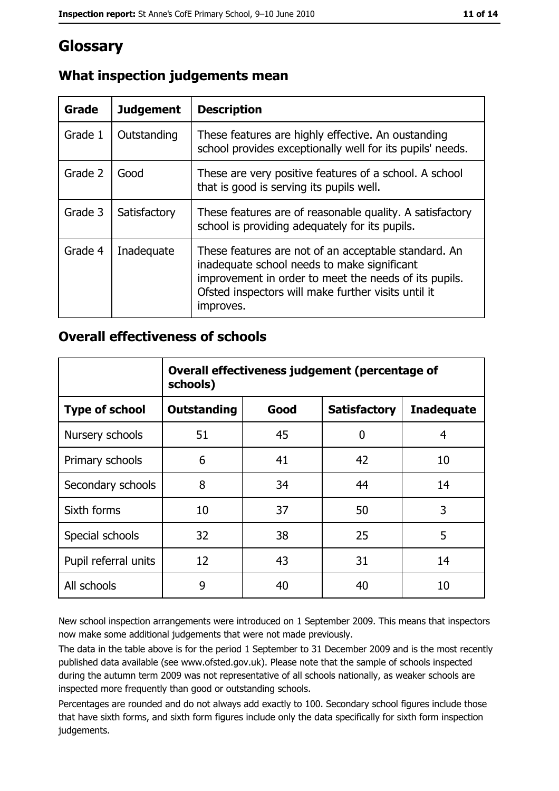# Glossary

| Grade   | <b>Judgement</b> | <b>Description</b>                                                                                                                                                                                                               |
|---------|------------------|----------------------------------------------------------------------------------------------------------------------------------------------------------------------------------------------------------------------------------|
| Grade 1 | Outstanding      | These features are highly effective. An oustanding<br>school provides exceptionally well for its pupils' needs.                                                                                                                  |
| Grade 2 | Good             | These are very positive features of a school. A school<br>that is good is serving its pupils well.                                                                                                                               |
| Grade 3 | Satisfactory     | These features are of reasonable quality. A satisfactory<br>school is providing adequately for its pupils.                                                                                                                       |
| Grade 4 | Inadequate       | These features are not of an acceptable standard. An<br>inadequate school needs to make significant<br>improvement in order to meet the needs of its pupils.<br>Ofsted inspectors will make further visits until it<br>improves. |

## What inspection judgements mean

## **Overall effectiveness of schools**

|                       | Overall effectiveness judgement (percentage of<br>schools) |      |                     |                   |
|-----------------------|------------------------------------------------------------|------|---------------------|-------------------|
| <b>Type of school</b> | <b>Outstanding</b>                                         | Good | <b>Satisfactory</b> | <b>Inadequate</b> |
| Nursery schools       | 51                                                         | 45   | 0                   | 4                 |
| Primary schools       | 6                                                          | 41   | 42                  | 10                |
| Secondary schools     | 8                                                          | 34   | 44                  | 14                |
| Sixth forms           | 10                                                         | 37   | 50                  | 3                 |
| Special schools       | 32                                                         | 38   | 25                  | 5                 |
| Pupil referral units  | 12                                                         | 43   | 31                  | 14                |
| All schools           | 9                                                          | 40   | 40                  | 10                |

New school inspection arrangements were introduced on 1 September 2009. This means that inspectors now make some additional judgements that were not made previously.

The data in the table above is for the period 1 September to 31 December 2009 and is the most recently published data available (see www.ofsted.gov.uk). Please note that the sample of schools inspected during the autumn term 2009 was not representative of all schools nationally, as weaker schools are inspected more frequently than good or outstanding schools.

Percentages are rounded and do not always add exactly to 100. Secondary school figures include those that have sixth forms, and sixth form figures include only the data specifically for sixth form inspection judgements.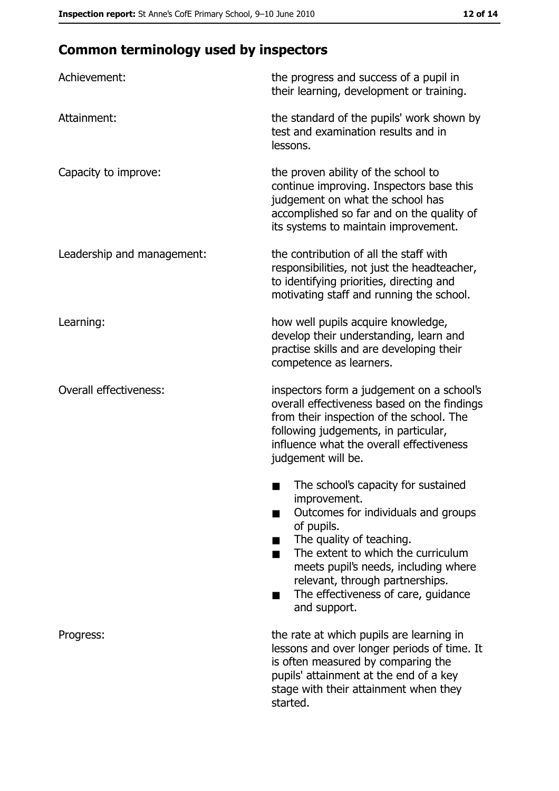# **Common terminology used by inspectors**

| Achievement:                  | the progress and success of a pupil in<br>their learning, development or training.                                                                                                                                                                                                                           |  |
|-------------------------------|--------------------------------------------------------------------------------------------------------------------------------------------------------------------------------------------------------------------------------------------------------------------------------------------------------------|--|
| Attainment:                   | the standard of the pupils' work shown by<br>test and examination results and in<br>lessons.                                                                                                                                                                                                                 |  |
| Capacity to improve:          | the proven ability of the school to<br>continue improving. Inspectors base this<br>judgement on what the school has<br>accomplished so far and on the quality of<br>its systems to maintain improvement.                                                                                                     |  |
| Leadership and management:    | the contribution of all the staff with<br>responsibilities, not just the headteacher,<br>to identifying priorities, directing and<br>motivating staff and running the school.                                                                                                                                |  |
| Learning:                     | how well pupils acquire knowledge,<br>develop their understanding, learn and<br>practise skills and are developing their<br>competence as learners.                                                                                                                                                          |  |
| <b>Overall effectiveness:</b> | inspectors form a judgement on a school's<br>overall effectiveness based on the findings<br>from their inspection of the school. The<br>following judgements, in particular,<br>influence what the overall effectiveness<br>judgement will be.                                                               |  |
|                               | The school's capacity for sustained<br>improvement.<br>Outcomes for individuals and groups<br>of pupils.<br>The quality of teaching.<br>The extent to which the curriculum<br>meets pupil's needs, including where<br>relevant, through partnerships.<br>The effectiveness of care, guidance<br>and support. |  |
| Progress:                     | the rate at which pupils are learning in<br>lessons and over longer periods of time. It<br>is often measured by comparing the<br>pupils' attainment at the end of a key<br>stage with their attainment when they<br>started.                                                                                 |  |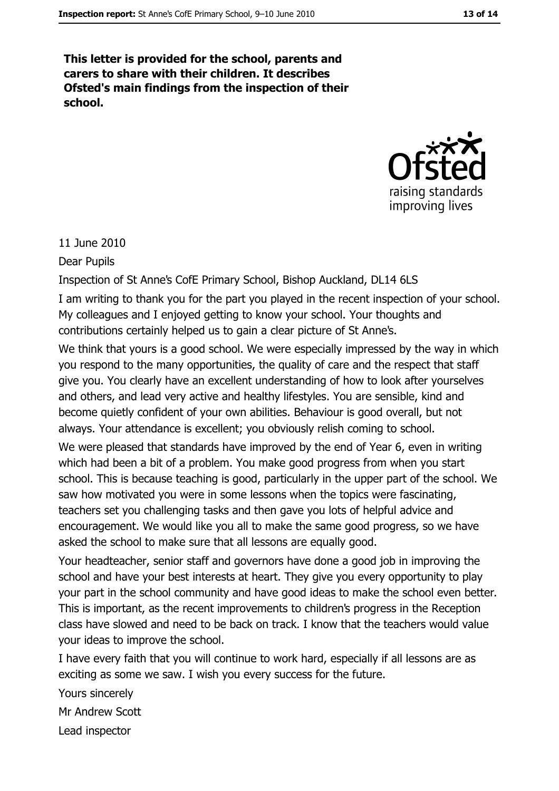This letter is provided for the school, parents and carers to share with their children. It describes Ofsted's main findings from the inspection of their school.



11 June 2010

**Dear Pupils** 

Inspection of St Anne's CofE Primary School, Bishop Auckland, DL14 6LS

I am writing to thank you for the part you played in the recent inspection of your school. My colleagues and I enjoved getting to know your school. Your thoughts and contributions certainly helped us to gain a clear picture of St Anne's.

We think that yours is a good school. We were especially impressed by the way in which you respond to the many opportunities, the quality of care and the respect that staff give you. You clearly have an excellent understanding of how to look after yourselves and others, and lead very active and healthy lifestyles. You are sensible, kind and become quietly confident of your own abilities. Behaviour is good overall, but not always. Your attendance is excellent; you obviously relish coming to school.

We were pleased that standards have improved by the end of Year 6, even in writing which had been a bit of a problem. You make good progress from when you start school. This is because teaching is good, particularly in the upper part of the school. We saw how motivated you were in some lessons when the topics were fascinating, teachers set you challenging tasks and then gave you lots of helpful advice and encouragement. We would like you all to make the same good progress, so we have asked the school to make sure that all lessons are equally good.

Your headteacher, senior staff and governors have done a good job in improving the school and have your best interests at heart. They give you every opportunity to play your part in the school community and have good ideas to make the school even better. This is important, as the recent improvements to children's progress in the Reception class have slowed and need to be back on track. I know that the teachers would value vour ideas to improve the school.

I have every faith that you will continue to work hard, especially if all lessons are as exciting as some we saw. I wish you every success for the future.

Yours sincerely Mr Andrew Scott Lead inspector